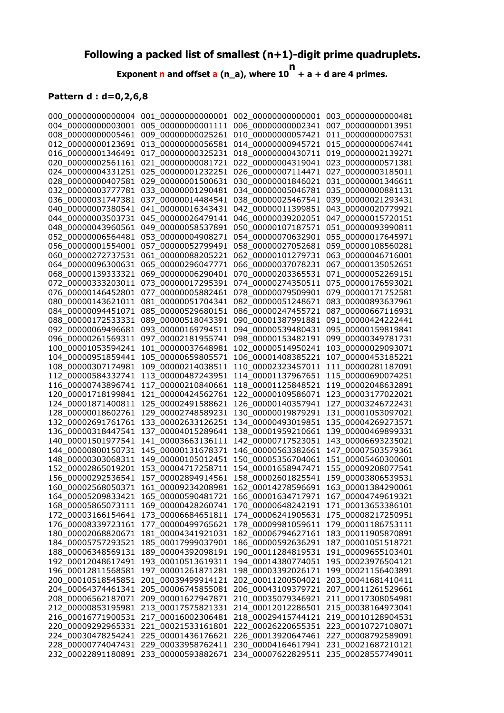## **Following a packed list of smallest (n+1)-digit prime quadruplets.**

**Exponent n and offset a (n\_a), where 10 n + a + d are 4 primes.**

## **Pattern d : d=0,2,6,8**

|                    |                    | $000\_0000000000004$ $001\_00000000000001$ $002\_0000000000001$ $003\_00000000000481$ |                    |
|--------------------|--------------------|---------------------------------------------------------------------------------------|--------------------|
|                    |                    | 004 00000000003001 005 00000000001111 006 00000000002341                              | 007 00000000013951 |
| 008_00000000005461 | 009_00000000025261 | 010_00000000057421                                                                    | 011_00000000007531 |
| 012_00000000123691 | 013_00000000056581 | 014_00000000945721                                                                    | 015 00000000067441 |
| 016_00000001346491 | 017_00000000325231 | 018_00000000430711                                                                    | 019_00000002139271 |
| 020_00000002561161 | 021_00000000081721 | 022 00000004319041                                                                    | 023_00000000571381 |
| 024_00000004331251 | 025_00000001232251 | 026_00000007114471                                                                    | 027 00000003185011 |
| 028_00000000407581 | 029_00000001500631 | 030_00000001846021                                                                    | 031_00000001346611 |
| 032_00000003777781 | 033_00000001290481 | 034_00000005046781                                                                    | 035_00000000881131 |
| 036_00000031747381 | 037_00000014484541 | 038_00000025467541                                                                    | 039_00000021293431 |
| 040_00000007380541 | 041_00000016343431 | 042_00000011399851                                                                    | 043_00000020779921 |
| 044 00000003503731 | 045_00000026479141 | 046 00000039202051                                                                    | 047_00000015720151 |
| 048_00000043960561 | 049_00000058537891 | 050_00000107187571                                                                    | 051 00000093990811 |
| 052_00000006564481 | 053_00000004908271 | 054_00000070632901                                                                    | 055_00000017645971 |
| 056_00000001554001 | 057_00000052799491 | 058_00000027052681                                                                    | 059_00000108560281 |
| 060_00000272737531 | 061_00000088205221 | 062_00000101279731                                                                    | 063_00000046716001 |
| 064_00000096300631 | 065_00000296047771 | 066_00000037078231                                                                    | 067_00000135052651 |
| 068_00000139333321 | 069_00000006290401 | 070_00000203365531                                                                    | 071_00000052269151 |
| 072_00000333203011 | 073 00000017295391 | 074 00000274350511                                                                    | 075_00000176593021 |
| 076_00000146452801 | 077 00000005882461 | 078_00000079509901                                                                    | 079_00000171752581 |
| 080_00000143621011 | 081_00000051704341 | 082_00000051248671                                                                    | 083_00000893637961 |
| 084 00000094451071 | 085_00000529680151 | 086 00000247455721                                                                    | 087_00000667116931 |
| 088_00000172533331 | 089_00000518043391 | 090 00001387991881                                                                    | 091_00000424222441 |
| 092_00000069496681 | 093_00000169794511 | 094_00000539480431                                                                    | 095_00000159819841 |
| 096_00000261569311 | 097_00002181955741 | 098_00000153482191                                                                    | 099 00000349781731 |
| 100_00001053594241 | 101_00000037648981 | 102_00000514950241                                                                    | 103_00000029093071 |
| 104 00000951859441 | 105 00000659805571 | 106_00001408385221                                                                    | 107_00000453185221 |
| 108_00000307174981 | 109_00000214038511 | 110_00002323457011                                                                    | 111_00000281187091 |
| 112_00000584332741 | 113_00000487243951 | 114_00001137967651                                                                    | 115_00000690074251 |
| 116_00000743896741 | 117_00000210840661 | 118_00001125848521                                                                    | 119_00002048632891 |
| 120_00001718199841 | 121 00000424562761 | 122_00000109586071                                                                    | 123_00003177022021 |
| 124_00001871400811 | 125_00002491588621 | 126_00000140357941                                                                    | 127_00003246722431 |
| 128_00000018602761 | 129_00002748589231 | 130_00000019879291                                                                    | 131_00001053097021 |
| 132_00002691761761 | 133_00002633126251 | 134_00000493019851                                                                    | 135_00004269273571 |
| 136_00000318447541 | 137_00004015289641 | 138_00001959210661                                                                    | 139_00000469899331 |
| 140_00001501977541 | 141_00003663136111 | 142_00000717523051                                                                    | 143_00006693235021 |
| 144_00000800150731 | 145_00000131678371 | 146_00000563382661                                                                    | 147_00007503579361 |
| 148_00000303068311 | 149_00000105012451 | 150 00005356704061                                                                    | 151_00005460300601 |
| 152_00002865019201 | 153 00004717258711 | 154_00001658947471                                                                    | 155_00009208077541 |
| 156 00000292536541 | 157_00002894914561 | 158_00002601825541                                                                    | 159_00003806539531 |
| 160_00002568050371 | 161_00009234208981 | 162_00014278596691                                                                    | 163_00001384290061 |
| 164_00005209833421 | 165_00000590481721 | 166_00001634717971                                                                    | 167_00004749619321 |
| 168 00005865073111 | 169 00000428260741 | 170_00000648242191                                                                    | 171_00013653386101 |
| 172 00003166154641 | 173_00006684651811 | 174 00006241905631                                                                    | 175_00008217250951 |
| 176_00008339723161 | 177_00000499765621 | 178 00009981059611                                                                    | 179_00001186753111 |
| 180_00002068820671 | 181_00004341921031 | 182_00006794627161                                                                    | 183_00011905870891 |
| 184_00005757293521 | 185_00017999037901 | 186_00000592636291                                                                    | 187_00001051518721 |
| 188_00006348569131 | 189 00004392098191 | 190_00011284819531                                                                    | 191_00009655103401 |
| 192_00012048617491 | 193_00010513619311 | 194_00014380774051                                                                    | 195_00023976504121 |
| 196 00012811568581 | 197_00001261871281 | 198_00003392026171                                                                    | 199_00021156403891 |
| 200_00010518545851 | 201_00039499914121 | 202_00011200504021                                                                    | 203_00041681410411 |
| 204_00064374461341 | 205 00006745855081 | 206_00043109379721                                                                    | 207_00011261529661 |
| 208_00006562187071 | 209 00001627947871 | 210_00035079346921                                                                    | 211_00017308054981 |
| 212_00000853195981 | 213_00017575821331 | 214_00012012286501                                                                    | 215_00038164973041 |
| 216_00016771900531 | 217_00016002306481 | 218_00029415744121                                                                    | 219_00010128904531 |
| 220_00009292965331 | 221_00021533161801 | 222_00026220655351                                                                    | 223_00010727108071 |
| 224_00030478254241 | 225_00001436176621 | 226_00013920647461                                                                    | 227_00008792589091 |
| 228_00000774047431 | 229_00033958762411 | 230_00004164617941                                                                    | 231_00021687210121 |
| 232_00022891180891 | 233_00000593882671 | 234_00007622829511                                                                    | 235_00028557749011 |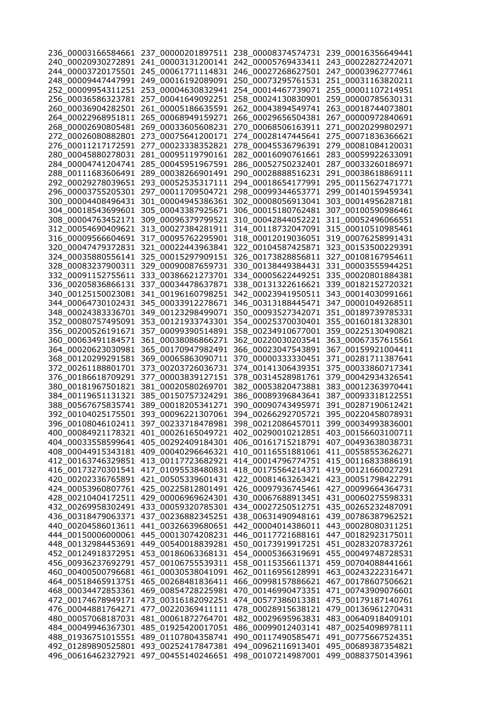|                                          |                                          | 236_00003166584661  237_00000201897511  238_00008374574731  239_00016356649441 |                                          |
|------------------------------------------|------------------------------------------|--------------------------------------------------------------------------------|------------------------------------------|
|                                          |                                          | 240 00020930272891 241 00003131200141 242 00005769433411 243 00022827242071    |                                          |
| 244_00003720175501                       | 245_00061771114831                       | 246 00027268627501                                                             | 247_00003962777461                       |
| 248_00009447447991                       | 249_00016192089091                       | 250 00073295761531                                                             | 251 00031163820211                       |
| 252_00009954311251                       | 253_00004630832941                       | 254_00014467739071                                                             | 255_00001107214951                       |
| 256_00036586323781                       | 257_00041649092251                       | 258_00024130830901                                                             | 259_00000785630131                       |
| 260_00036904282501                       | 261 00005186635591                       | 262_00043894549741                                                             | 263_00018744073801                       |
| 264_00022968951811                       | 265_00068949159271                       | 266_00029656504381                                                             | 267_00000972840691                       |
| 268_00002690805481                       | 269_00033605608231                       | 270_00068506163911                                                             | 271_00020299802971                       |
| 272 00026080882801                       | 273 00075641200171                       | 274 00028147445641                                                             | 275_00071836366621                       |
| 276_00011217172591                       |                                          | 277_00023338352821 278_00045536796391                                          | 279_00081084120031                       |
| 280_00045880278031                       |                                          | 281_00095119790161 282_00016090761661                                          | 283_00059922633091                       |
| 284_00004741204741                       |                                          | 285_00045951967591 286_00052750232401                                          | 287_00033260186971                       |
| 288_00111683606491                       |                                          | 289_00038266901491 290_00028888516231                                          | 291_00038618869111                       |
| 292_00029278039651                       | 293_00052535317111                       | 294_00018654177991                                                             | 295_00115627471771                       |
| 296_00003755205301                       | 297_00011709504721                       | 298_00099344653771                                                             | 299_00140159459341                       |
| 300_00004408496431                       | 301_00004945386361                       | 302_00008056913041                                                             | 303_00014956287181                       |
| 304_00018543699601<br>308 00004763452171 | 305_00043387925671                       | 306_00015180762481<br>310 00042844052221                                       | 307_00100590986461<br>311_00052496066551 |
| 312_00054690409621                       | 309_00096379799521<br>313_00027384281911 | 314 00118732047091                                                             | 315_00010510985461                       |
| 316_00009566604691                       | 317_00095762295901                       | 318_00012019036051                                                             | 319_00076258991431                       |
| 320_00047479372831                       | 321 00022443963841                       | 322_00104587425871                                                             | 323_00153500229391                       |
| 324_00035880556141                       |                                          | 325_00015297909151 326_00173828856811                                          | 327_00108167954611                       |
| 328_00083237900311                       |                                          | 329_00090087659731 330_00138449384431                                          | 331_00003555944251                       |
| 332_00091152755611                       | 333_00386621273701                       | 334_00005622449251                                                             | 335_00020801884381                       |
| 336_00205836866131                       | 337_00034478637871                       | 338_00131322616621                                                             | 339_00182152720321                       |
| 340_00125150023081                       | 341_00196160798251                       | 342_00023941950511                                                             | 343_00014030991661                       |
| 344_00064730102431                       | 345_00033912278671                       | 346_00313188445471                                                             | 347_00001049268511                       |
| 348_00024383336701                       | 349_00123298499071                       | 350_00093527342071                                                             | 351_00189739785331                       |
| 352_00080757495091                       | 353_00121933743301                       | 354_00025370030401                                                             | 355_00160181328301                       |
| 356_00200526191671                       | 357_00099390514891                       | 358_00234910677001                                                             | 359_00225130490821                       |
| 360_00063491184571                       | 361_00038086866271                       | 362_00220030203541                                                             | 363_00067357615561                       |
| 364_00020623030981                       | 365_00170947982491                       | 366_00023047543891                                                             | 367_00159921004411                       |
| 368_00120299291581                       | 369_00065863090711                       | 370_00000333330451                                                             | 371_00281711387641                       |
| 372_00261188801701                       | 373_00203726036731                       | 374_00141306439351                                                             | 375_00033860717341                       |
| 376_00186618709291                       | 377_00003839127151                       | 378_00314528981761                                                             | 379_00042934326541                       |
| 380 00181967501821                       | 381_00020580269701                       | 382_00053820473881                                                             | 383_00012363970441                       |
| 384_00119651131321                       | 385_00150757324291                       | 386 00089396843641                                                             | 387_00093318122551                       |
| 388_00567675835741                       | 389_00018205341271                       | 390_00090743495971                                                             | 391_00287190612421                       |
| 392_00104025175501                       | 393 00096221307061                       | 394_00266292705721                                                             | 395_00220458078931                       |
| 396 00108046102411                       | 397 00233718478981                       | 398 00212086457011                                                             | 399 00034993836001                       |
| 400_00084921178321                       | 401_00026165049721                       | 402_00290010212851                                                             | 403 00156603100711                       |
| 404_00033558599641<br>408_00044915343181 | 405_00292409184301<br>409_00040296646321 | 406_00161715218791<br>410_00116551881061                                       | 407_00493638038731<br>411_00558553626271 |
| 412 00163746329851                       | 413_00117723682921                       | 414_00014796774751                                                             | 415 00116833886191                       |
| 416_00173270301541                       | 417_01095538480831                       | 418_00175564214371                                                             | 419_00121660027291                       |
| 420_00202336765891                       | 421_00505339601431                       | 422_00081463263421                                                             | 423_00051798422791                       |
| 424 00053960807761                       | 425 00225812801491                       | 426_00097936745461                                                             | 427_00099664364731                       |
| 428 00210404172511                       | 429_00006969624301                       | 430_00067688913451                                                             | 431_00060275598331                       |
| 432_00269958302491                       | 433 00059320785301                       | 434 00027250512751                                                             | 435 00265232487091                       |
| 436_00318479063371                       | 437_00236882345251                       | 438_00631490948161                                                             | 439_00786387962521                       |
| 440_00204586013611                       | 441 00326639680651                       | 442_00004014386011                                                             | 443_00028080311251                       |
| 444_00150006000061                       | 445_00013074208231                       | 446_00117721688161                                                             | 447 00182923175011                       |
| 448_00132984453691                       | 449_00540018839281                       | 450_00173919917251                                                             | 451_00283207837261                       |
| 452_00124918372951                       | 453_00186063368131                       | 454_00005366319691                                                             | 455_00049748728531                       |
| 456_00936237692791                       | 457_00106755539311                       | 458_00115356611371                                                             | 459_00704088441661                       |
| 460_00400500796681                       | 461_00030538041091                       | 462_00116956128991                                                             | 463_00243222316471                       |
| 464_00518465913751                       | 465_00268481836411                       | 466_00998157886621                                                             | 467_00178607506621                       |
| 468_00034472853361                       | 469_00854728225981                       | 470_00146990473351                                                             | 471_00743909076601                       |
| 472_00174678949171                       | 473_00316182092251                       | 474 00577386013381                                                             | 475_00179187140761                       |
| 476_00044881764271                       | 477 00220369411111                       | 478_00028915638121                                                             | 479_00136961270431                       |
| 480_00057068187031                       | 481_00061872764701                       | 482_00029695963831                                                             | 483_00640918409101                       |
| 484_00049946367301                       | 485_01925420017051                       | 486_00099012403141                                                             | 487_00254098978111                       |
| 488_01936751015551                       | 489 01107804358741                       | 490_00117490585471                                                             | 491_00775667524351                       |
| 492_01289890525801                       | 493 00252417847381                       | 494_00962116913401                                                             | 495_00689387354821                       |
| 496_00616462327921                       | 497_00455140246651                       | 498_00107214987001                                                             | 499_00883750143961                       |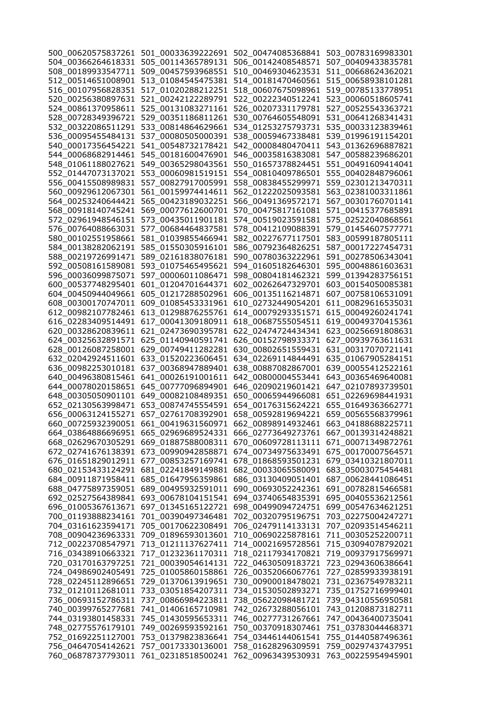|                    |                                                                | 500_00620575837261 501_00033639222691 502_00474085368841 503_00783169983301 |                                          |
|--------------------|----------------------------------------------------------------|-----------------------------------------------------------------------------|------------------------------------------|
|                    |                                                                | 504_00366264618331 505_00114365789131 506_00142408548571 507_00409433835781 |                                          |
|                    | 508_00189933547711 509_00457593968551                          | 510_00469304623531                                                          | 511_00668624362021                       |
| 512_00514651008901 | 513_01084545475381                                             | 514 00181470460561                                                          | 515_00658938101281                       |
| 516_00107956828351 | 517_01020288212251                                             | 518_00607675098961                                                          | 519_00785133778951                       |
| 520 00256380897631 |                                                                | 521_00242122289791 522_00222340512241                                       | 523_00060518605741                       |
| 524_00861370958611 |                                                                | 525_00131083271161 526_00207331179781                                       | 527_00525543363721                       |
| 528_00728349396721 | 529_00351186811261                                             | 530_00764605548091                                                          | 531_00641268341431                       |
|                    | 532_00322086511291 533_00814864629661                          | 534_01253275793731                                                          | 535_00033123839461                       |
|                    | 536_00095455484131 537_00080505000391 538_00059467338481       |                                                                             | 539_01996191154201                       |
|                    | 540_00017356454221 541_00548732178421 542_00008480470411       |                                                                             | 543_01362696887821                       |
|                    |                                                                | 544_00068682914461 545_00181600476901 546_00035816383081 547_00588239686201 |                                          |
|                    |                                                                | 548_01061188027621 549_00365298043561 550_01657378824451 551_00491609414041 |                                          |
|                    | 552_01447073137021 553_00060981519151 554_00810409786501       |                                                                             | 555_00402848796061                       |
| 556_00415508989831 |                                                                | 557_00827917005991 558_00838455299971                                       | 559_02301213470311                       |
| 560_00929612067301 |                                                                | 561_00159974414611 562_01222025093581                                       | 563_02381003311861                       |
| 564_00253240644421 |                                                                | 565_00423189032251 566_00491369572171                                       | 567_00301760701141                       |
| 568_00918140745241 |                                                                | 569_00077612600701 570_00475817161081                                       | 571_00415377685891                       |
| 572_02961948546151 | 573_00435011901181                                             | 574_00519023591581                                                          | 575 02522040868561                       |
| 576 00764088663031 | 577 00684464837581                                             | 578_00412109088391                                                          | 579 01454607577771                       |
| 580_00102551958661 | 581_01039855466941                                             | 582 00227677117501                                                          | 583_00599187805111                       |
|                    | 584 00138282062191 585 01550305916101                          | 586_00792364826251                                                          | 587 00017227454731                       |
|                    | 588_00219726991471 589_02161838076181 590_00780363222961       |                                                                             | 591_00278506343041                       |
|                    | 592_00508161589081 593_01075465495621 594_01605182646301       |                                                                             | 595_00048861603631                       |
| 596_00036099875071 |                                                                | 597_00006011086471 598_00804181462321                                       | 599_01394283756151                       |
| 600_00537748295401 |                                                                | 601_01204701644371 602_00262647329701                                       | 603_00154050085381                       |
| 604_00450944049661 |                                                                | 605_01217288502961 606_00135116214871                                       | 607_00758106531091                       |
| 608_00300170747011 |                                                                | 609_01085453331961 610_02732449054201                                       | 611_00829616535031                       |
|                    | 612_00982107782461    613_01298876255761    614_00079293351571 |                                                                             | 615_00049260241741                       |
|                    | 616_02283409514491 617_00041309180911 618_00687555054511       |                                                                             | 619_00049370415361                       |
|                    |                                                                |                                                                             | 623_00256691808631                       |
|                    | 624_00325632891571    625_01140940591741    626_00152798933371 |                                                                             | 627_00939763611631                       |
|                    | 628_00126087258001 629_00749411282281 630_00802651559431       |                                                                             | 631_00317070721141                       |
| 632_02042924511601 |                                                                | 633_01520223606451 634_02269114844491                                       | 635_01067905284151                       |
|                    | 636_00982253010181    637_00368947889401    638_00887082867001 |                                                                             |                                          |
|                    |                                                                |                                                                             | 639_00055412522161                       |
|                    |                                                                |                                                                             | 643_00365469640081<br>647_02107893739501 |
|                    |                                                                |                                                                             |                                          |
|                    |                                                                |                                                                             | 651_02269698441931                       |
|                    |                                                                |                                                                             | 655_01649363662771                       |
|                    |                                                                |                                                                             | 659_00565568379961                       |
|                    |                                                                | 660 00725932390051 661 00419631560971 662 00898914932461                    | 663 04188688225711                       |
|                    | 664_03864886696951 665_02969689524331                          | 666_02773649273761                                                          | 667_00139314248821<br>671 00071349872761 |
| 668 02629670305291 | 669_01887588008311                                             | 670_00609728113111                                                          |                                          |
| 672 02741676138391 | 673_00990942858871                                             | 674_00734975633491                                                          | 675_00170007564571                       |
| 676_01651829012911 | 677_00853257169741                                             | 678_01868593501231                                                          | 679_03410321807011                       |
| 680_02153433124291 | 681_02241849149881                                             | 682_00033065580091                                                          | 683 05003075454481                       |
| 684_00911871958411 | 685_01647956359861                                             | 686_03130409051401                                                          | 687_00628441086451                       |
| 688_04775897359051 | 689_00495932591011                                             | 690 00693052242361                                                          | 691 00782815466581                       |
| 692_02527564389841 | 693_00678104151541                                             | 694_03740654835391                                                          | 695_00405536212561                       |
| 696_01005367613671 | 697_01345165122721                                             | 698_00499094724751                                                          | 699 00547634621251                       |
| 700_01193888234161 | 701_00390497346481                                             | 702_00320795196751                                                          | 703_02275004247271                       |
| 704_03161623594171 | 705_00170622308491                                             | 706_02479114133131                                                          | 707_02093514546211                       |
| 708_00904236963331 | 709_01896593013601                                             | 710 00690225878161                                                          | 711_00305252200711                       |
| 712_00223708547971 | 713_01211137627411                                             | 714_00021695728561                                                          | 715_03094078792021                       |
| 716_03438910663321 | 717 01232361170311                                             | 718_02117934170821                                                          | 719_00937917569971                       |
| 720_03170163797251 | 721_00039054614131                                             | 722_04630509183721                                                          | 723_02943606386641                       |
| 724_04986902405491 | 725_01005860158861                                             | 726_00352066067761                                                          | 727_02859933938191                       |
| 728_02245112896651 | 729_01370613919651                                             | 730_00900018478021                                                          | 731_02367549783211                       |
| 732_01210112681011 | 733_03051854207311                                             | 734_01530502893271                                                          | 735_01752716999401                       |
| 736_00693152786311 | 737_00866984223811                                             | 738_05622098481721                                                          | 739_04310556950581                       |
| 740_00399765277681 | 741_01406165710981                                             | 742_02673288056101                                                          | 743_01208873182711                       |
| 744_03193801458331 | 745_01430595653311                                             | 746_00277731267661                                                          | 747_00436400735041                       |
| 748_02775576179101 | 749_00269593592161                                             | 750_00370918307461                                                          | 751_03783044468371                       |
| 752_01692251127001 | 753 01379823836641                                             | 754_03446144061541                                                          | 755_01440587496361                       |
| 756_04647054142621 | 757_00173330136001                                             | 758_01628296309591                                                          | 759_00297437437951                       |
| 760 06878737793011 | 761_02318518500241                                             | 762_00963439530931                                                          | 763_00225954945901                       |